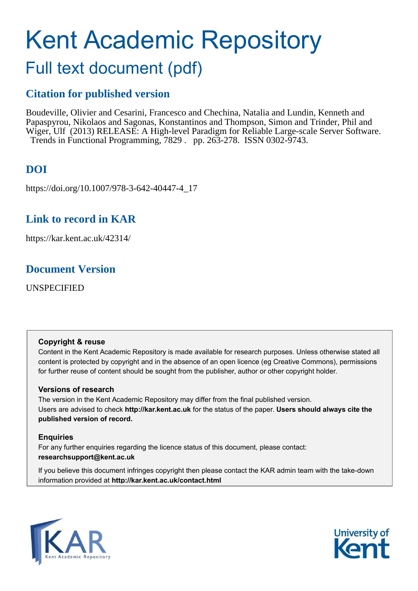# Kent Academic Repository

## Full text document (pdf)

## **Citation for published version**

Boudeville, Olivier and Cesarini, Francesco and Chechina, Natalia and Lundin, Kenneth and Papaspyrou, Nikolaos and Sagonas, Konstantinos and Thompson, Simon and Trinder, Phil and Wiger, Ulf (2013) RELEASE: A High-level Paradigm for Reliable Large-scale Server Software. Trends in Functional Programming, 7829 . pp. 263-278. ISSN 0302-9743.

## **DOI**

https://doi.org/10.1007/978-3-642-40447-4\_17

## **Link to record in KAR**

https://kar.kent.ac.uk/42314/

## **Document Version**

UNSPECIFIED

#### **Copyright & reuse**

Content in the Kent Academic Repository is made available for research purposes. Unless otherwise stated all content is protected by copyright and in the absence of an open licence (eg Creative Commons), permissions for further reuse of content should be sought from the publisher, author or other copyright holder.

#### **Versions of research**

The version in the Kent Academic Repository may differ from the final published version. Users are advised to check **http://kar.kent.ac.uk** for the status of the paper. **Users should always cite the published version of record.**

#### **Enquiries**

For any further enquiries regarding the licence status of this document, please contact: **researchsupport@kent.ac.uk**

If you believe this document infringes copyright then please contact the KAR admin team with the take-down information provided at **http://kar.kent.ac.uk/contact.html**



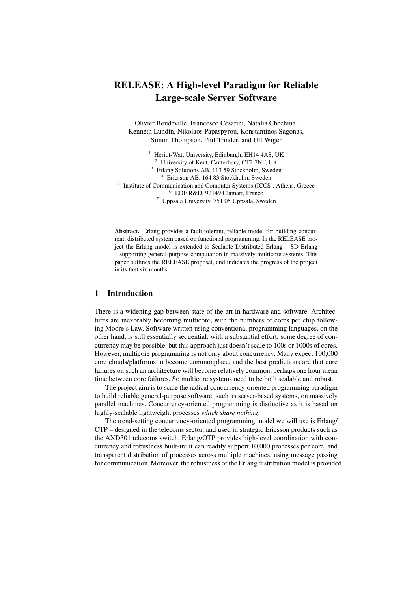### RELEASE: A High-level Paradigm for Reliable Large-scale Server Software

Olivier Boudeville, Francesco Cesarini, Natalia Chechina, Kenneth Lundin, Nikolaos Papaspyrou, Konstantinos Sagonas, Simon Thompson, Phil Trinder, and Ulf Wiger

- <sup>1</sup> Heriot-Watt University, Edinburgh, EH14 4AS, UK
- <sup>2</sup> University of Kent, Canterbury, CT2 7NF, UK
- <sup>3</sup> Erlang Solutions AB, 113 59 Stockholm, Sweden
	- <sup>4</sup> Ericsson AB, 164 83 Stockholm, Sweden
- 5 Institute of Communication and Computer Systems (ICCS), Athens, Greece
	- <sup>6</sup> EDF R&D, 92149 Clamart, France

<sup>7</sup> Uppsala University, 751 05 Uppsala, Sweden

Abstract. Erlang provides a fault-tolerant, reliable model for building concurrent, distributed system based on functional programming. In the RELEASE project the Erlang model is extended to Scalable Distributed Erlang – SD Erlang – supporting general-purpose computation in massively multicore systems. This paper outlines the RELEASE proposal, and indicates the progress of the project in its first six months.

#### 1 Introduction

There is a widening gap between state of the art in hardware and software. Architectures are inexorably becoming multicore, with the numbers of cores per chip following Moore's Law. Software written using conventional programming languages, on the other hand, is still essentially sequential: with a substantial effort, some degree of concurrency may be possible, but this approach just doesn't scale to 100s or 1000s of cores. However, multicore programming is not only about concurrency. Many expect 100,000 core clouds/platforms to become commonplace, and the best predictions are that core failures on such an architecture will become relatively common, perhaps one hour mean time between core failures. So multicore systems need to be both scalable and robust.

The project aim is to scale the radical concurrency-oriented programming paradigm to build reliable general-purpose software, such as server-based systems, on massively parallel machines. Concurrency-oriented programming is distinctive as it is based on highly-scalable lightweight processes *which share nothing*.

The trend-setting concurrency-oriented programming model we will use is Erlang/ OTP – designed in the telecoms sector, and used in strategic Ericsson products such as the AXD301 telecoms switch. Erlang/OTP provides high-level coordination with concurrency and robustness built-in: it can readily support 10,000 processes per core, and transparent distribution of processes across multiple machines, using message passing for communication. Moreover, the robustness of the Erlang distribution model is provided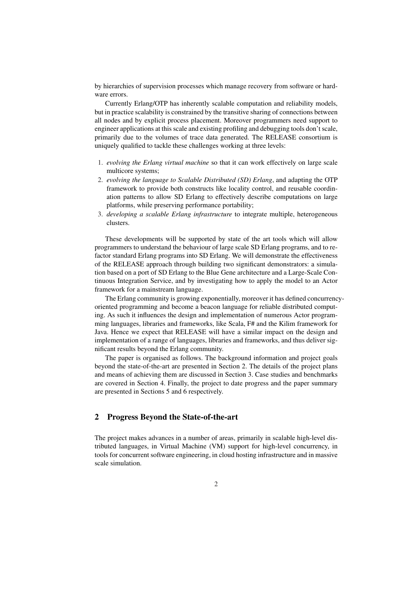by hierarchies of supervision processes which manage recovery from software or hardware errors.

Currently Erlang/OTP has inherently scalable computation and reliability models, but in practice scalability is constrained by the transitive sharing of connections between all nodes and by explicit process placement. Moreover programmers need support to engineer applications at this scale and existing profiling and debugging tools don't scale, primarily due to the volumes of trace data generated. The RELEASE consortium is uniquely qualified to tackle these challenges working at three levels:

- 1. *evolving the Erlang virtual machine* so that it can work effectively on large scale multicore systems;
- 2. *evolving the language to Scalable Distributed (SD) Erlang*, and adapting the OTP framework to provide both constructs like locality control, and reusable coordination patterns to allow SD Erlang to effectively describe computations on large platforms, while preserving performance portability;
- 3. *developing a scalable Erlang infrastructure* to integrate multiple, heterogeneous clusters.

These developments will be supported by state of the art tools which will allow programmers to understand the behaviour of large scale SD Erlang programs, and to refactor standard Erlang programs into SD Erlang. We will demonstrate the effectiveness of the RELEASE approach through building two significant demonstrators: a simulation based on a port of SD Erlang to the Blue Gene architecture and a Large-Scale Continuous Integration Service, and by investigating how to apply the model to an Actor framework for a mainstream language.

The Erlang community is growing exponentially, moreover it has defined concurrencyoriented programming and become a beacon language for reliable distributed computing. As such it influences the design and implementation of numerous Actor programming languages, libraries and frameworks, like Scala, F# and the Kilim framework for Java. Hence we expect that RELEASE will have a similar impact on the design and implementation of a range of languages, libraries and frameworks, and thus deliver significant results beyond the Erlang community.

The paper is organised as follows. The background information and project goals beyond the state-of-the-art are presented in Section 2. The details of the project plans and means of achieving them are discussed in Section 3. Case studies and benchmarks are covered in Section 4. Finally, the project to date progress and the paper summary are presented in Sections 5 and 6 respectively.

#### 2 Progress Beyond the State-of-the-art

The project makes advances in a number of areas, primarily in scalable high-level distributed languages, in Virtual Machine (VM) support for high-level concurrency, in tools for concurrent software engineering, in cloud hosting infrastructure and in massive scale simulation.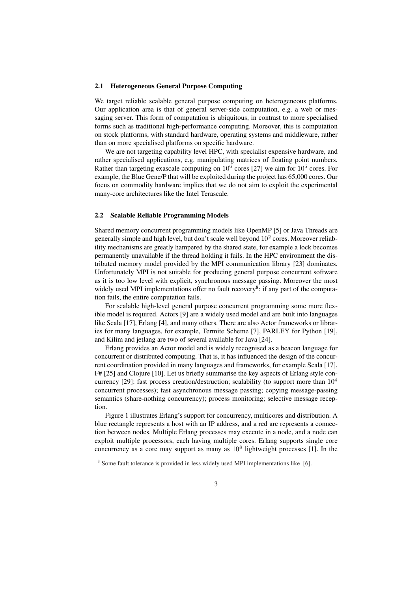#### 2.1 Heterogeneous General Purpose Computing

We target reliable scalable general purpose computing on heterogeneous platforms. Our application area is that of general server-side computation, e.g. a web or messaging server. This form of computation is ubiquitous, in contrast to more specialised forms such as traditional high-performance computing. Moreover, this is computation on stock platforms, with standard hardware, operating systems and middleware, rather than on more specialised platforms on specific hardware.

We are not targeting capability level HPC, with specialist expensive hardware, and rather specialised applications, e.g. manipulating matrices of floating point numbers. Rather than targeting exascale computing on  $10^6$  cores [27] we aim for  $10^5$  cores. For example, the Blue Gene/P that will be exploited during the project has 65,000 cores. Our focus on commodity hardware implies that we do not aim to exploit the experimental many-core architectures like the Intel Terascale.

#### 2.2 Scalable Reliable Programming Models

Shared memory concurrent programming models like OpenMP [5] or Java Threads are generally simple and high level, but don't scale well beyond 10<sup>2</sup> cores. Moreover reliability mechanisms are greatly hampered by the shared state, for example a lock becomes permanently unavailable if the thread holding it fails. In the HPC environment the distributed memory model provided by the MPI communication library [23] dominates. Unfortunately MPI is not suitable for producing general purpose concurrent software as it is too low level with explicit, synchronous message passing. Moreover the most widely used MPI implementations offer no fault recovery<sup>8</sup>: if any part of the computation fails, the entire computation fails.

For scalable high-level general purpose concurrent programming some more flexible model is required. Actors [9] are a widely used model and are built into languages like Scala [17], Erlang [4], and many others. There are also Actor frameworks or libraries for many languages, for example, Termite Scheme [7], PARLEY for Python [19], and Kilim and jetlang are two of several available for Java [24].

Erlang provides an Actor model and is widely recognised as a beacon language for concurrent or distributed computing. That is, it has influenced the design of the concurrent coordination provided in many languages and frameworks, for example Scala [17], F# [25] and Clojure [10]. Let us briefly summarise the key aspects of Erlang style concurrency [29]: fast process creation/destruction; scalability (to support more than  $10^4$ concurrent processes); fast asynchronous message passing; copying message-passing semantics (share-nothing concurrency); process monitoring; selective message reception.

Figure 1 illustrates Erlang's support for concurrency, multicores and distribution. A blue rectangle represents a host with an IP address, and a red arc represents a connection between nodes. Multiple Erlang processes may execute in a node, and a node can exploit multiple processors, each having multiple cores. Erlang supports single core concurrency as a core may support as many as  $10^8$  lightweight processes [1]. In the

<sup>&</sup>lt;sup>8</sup> Some fault tolerance is provided in less widely used MPI implementations like [6].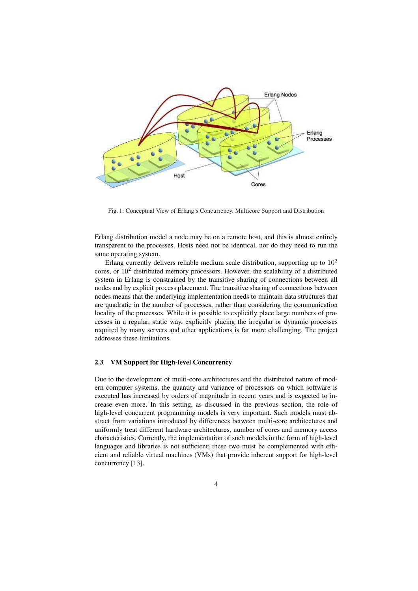

Fig. 1: Conceptual View of Erlang's Concurrency, Multicore Support and Distribution

Erlang distribution model a node may be on a remote host, and this is almost entirely transparent to the processes. Hosts need not be identical, nor do they need to run the same operating system.

Erlang currently delivers reliable medium scale distribution, supporting up to  $10<sup>2</sup>$ cores, or  $10<sup>2</sup>$  distributed memory processors. However, the scalability of a distributed system in Erlang is constrained by the transitive sharing of connections between all nodes and by explicit process placement. The transitive sharing of connections between nodes means that the underlying implementation needs to maintain data structures that are quadratic in the number of processes, rather than considering the communication locality of the processes. While it is possible to explicitly place large numbers of processes in a regular, static way, explicitly placing the irregular or dynamic processes required by many servers and other applications is far more challenging. The project addresses these limitations.

#### 2.3 VM Support for High-level Concurrency

Due to the development of multi-core architectures and the distributed nature of modern computer systems, the quantity and variance of processors on which software is executed has increased by orders of magnitude in recent years and is expected to increase even more. In this setting, as discussed in the previous section, the role of high-level concurrent programming models is very important. Such models must abstract from variations introduced by differences between multi-core architectures and uniformly treat different hardware architectures, number of cores and memory access characteristics. Currently, the implementation of such models in the form of high-level languages and libraries is not sufficient; these two must be complemented with efficient and reliable virtual machines (VMs) that provide inherent support for high-level concurrency [13].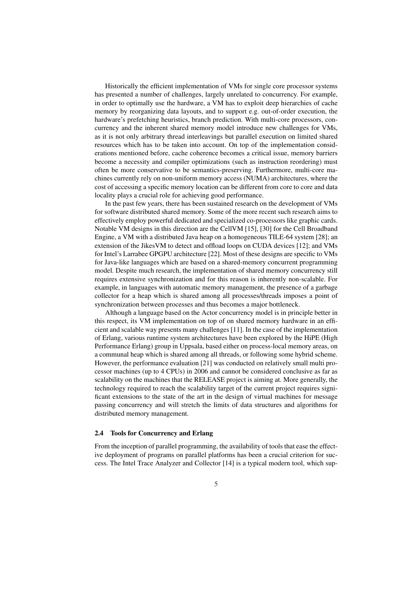Historically the efficient implementation of VMs for single core processor systems has presented a number of challenges, largely unrelated to concurrency. For example, in order to optimally use the hardware, a VM has to exploit deep hierarchies of cache memory by reorganizing data layouts, and to support e.g. out-of-order execution, the hardware's prefetching heuristics, branch prediction. With multi-core processors, concurrency and the inherent shared memory model introduce new challenges for VMs, as it is not only arbitrary thread interleavings but parallel execution on limited shared resources which has to be taken into account. On top of the implementation considerations mentioned before, cache coherence becomes a critical issue, memory barriers become a necessity and compiler optimizations (such as instruction reordering) must often be more conservative to be semantics-preserving. Furthermore, multi-core machines currently rely on non-uniform memory access (NUMA) architectures, where the cost of accessing a specific memory location can be different from core to core and data locality plays a crucial role for achieving good performance.

In the past few years, there has been sustained research on the development of VMs for software distributed shared memory. Some of the more recent such research aims to effectively employ powerful dedicated and specialized co-processors like graphic cards. Notable VM designs in this direction are the CellVM [15], [30] for the Cell Broadband Engine, a VM with a distributed Java heap on a homogeneous TILE-64 system [28]; an extension of the JikesVM to detect and offload loops on CUDA devices [12]; and VMs for Intel's Larrabee GPGPU architecture [22]. Most of these designs are specific to VMs for Java-like languages which are based on a shared-memory concurrent programming model. Despite much research, the implementation of shared memory concurrency still requires extensive synchronization and for this reason is inherently non-scalable. For example, in languages with automatic memory management, the presence of a garbage collector for a heap which is shared among all processes/threads imposes a point of synchronization between processes and thus becomes a major bottleneck.

Although a language based on the Actor concurrency model is in principle better in this respect, its VM implementation on top of on shared memory hardware in an efficient and scalable way presents many challenges [11]. In the case of the implementation of Erlang, various runtime system architectures have been explored by the HiPE (High Performance Erlang) group in Uppsala, based either on process-local memory areas, on a communal heap which is shared among all threads, or following some hybrid scheme. However, the performance evaluation [21] was conducted on relatively small multi processor machines (up to 4 CPUs) in 2006 and cannot be considered conclusive as far as scalability on the machines that the RELEASE project is aiming at. More generally, the technology required to reach the scalability target of the current project requires significant extensions to the state of the art in the design of virtual machines for message passing concurrency and will stretch the limits of data structures and algorithms for distributed memory management.

#### 2.4 Tools for Concurrency and Erlang

From the inception of parallel programming, the availability of tools that ease the effective deployment of programs on parallel platforms has been a crucial criterion for success. The Intel Trace Analyzer and Collector [14] is a typical modern tool, which sup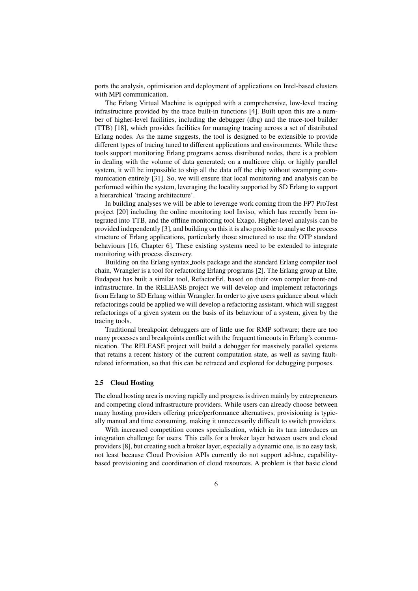ports the analysis, optimisation and deployment of applications on Intel-based clusters with MPI communication.

The Erlang Virtual Machine is equipped with a comprehensive, low-level tracing infrastructure provided by the trace built-in functions [4]. Built upon this are a number of higher-level facilities, including the debugger (dbg) and the trace-tool builder (TTB) [18], which provides facilities for managing tracing across a set of distributed Erlang nodes. As the name suggests, the tool is designed to be extensible to provide different types of tracing tuned to different applications and environments. While these tools support monitoring Erlang programs across distributed nodes, there is a problem in dealing with the volume of data generated; on a multicore chip, or highly parallel system, it will be impossible to ship all the data off the chip without swamping communication entirely [31]. So, we will ensure that local monitoring and analysis can be performed within the system, leveraging the locality supported by SD Erlang to support a hierarchical 'tracing architecture'.

In building analyses we will be able to leverage work coming from the FP7 ProTest project [20] including the online monitoring tool Inviso, which has recently been integrated into TTB, and the offline monitoring tool Exago. Higher-level analysis can be provided independently [3], and building on this it is also possible to analyse the process structure of Erlang applications, particularly those structured to use the OTP standard behaviours [16, Chapter 6]. These existing systems need to be extended to integrate monitoring with process discovery.

Building on the Erlang syntax tools package and the standard Erlang compiler tool chain, Wrangler is a tool for refactoring Erlang programs [2]. The Erlang group at Elte, Budapest has built a similar tool, RefactorErl, based on their own compiler front-end infrastructure. In the RELEASE project we will develop and implement refactorings from Erlang to SD Erlang within Wrangler. In order to give users guidance about which refactorings could be applied we will develop a refactoring assistant, which will suggest refactorings of a given system on the basis of its behaviour of a system, given by the tracing tools.

Traditional breakpoint debuggers are of little use for RMP software; there are too many processes and breakpoints conflict with the frequent timeouts in Erlang's communication. The RELEASE project will build a debugger for massively parallel systems that retains a recent history of the current computation state, as well as saving faultrelated information, so that this can be retraced and explored for debugging purposes.

#### 2.5 Cloud Hosting

The cloud hosting area is moving rapidly and progress is driven mainly by entrepreneurs and competing cloud infrastructure providers. While users can already choose between many hosting providers offering price/performance alternatives, provisioning is typically manual and time consuming, making it unnecessarily difficult to switch providers.

With increased competition comes specialisation, which in its turn introduces an integration challenge for users. This calls for a broker layer between users and cloud providers [8], but creating such a broker layer, especially a dynamic one, is no easy task, not least because Cloud Provision APIs currently do not support ad-hoc, capabilitybased provisioning and coordination of cloud resources. A problem is that basic cloud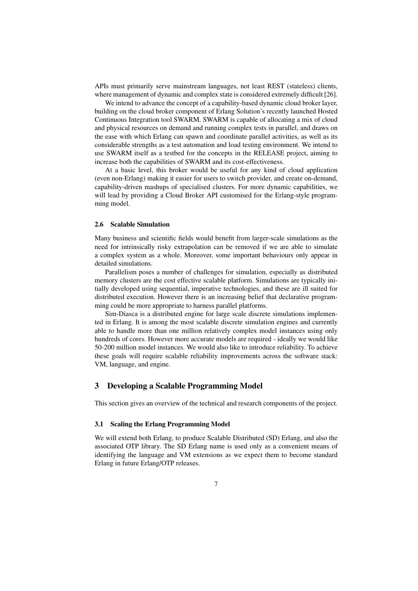APIs must primarily serve mainstream languages, not least REST (stateless) clients, where management of dynamic and complex state is considered extremely difficult [26].

We intend to advance the concept of a capability-based dynamic cloud broker layer, building on the cloud broker component of Erlang Solution's recently launched Hosted Continuous Integration tool SWARM. SWARM is capable of allocating a mix of cloud and physical resources on demand and running complex tests in parallel, and draws on the ease with which Erlang can spawn and coordinate parallel activities, as well as its considerable strengths as a test automation and load testing environment. We intend to use SWARM itself as a testbed for the concepts in the RELEASE project, aiming to increase both the capabilities of SWARM and its cost-effectiveness.

At a basic level, this broker would be useful for any kind of cloud application (even non-Erlang) making it easier for users to switch provider, and create on-demand, capability-driven mashups of specialised clusters. For more dynamic capabilities, we will lead by providing a Cloud Broker API customised for the Erlang-style programming model.

#### 2.6 Scalable Simulation

Many business and scientific fields would benefit from larger-scale simulations as the need for intrinsically risky extrapolation can be removed if we are able to simulate a complex system as a whole. Moreover, some important behaviours only appear in detailed simulations.

Parallelism poses a number of challenges for simulation, especially as distributed memory clusters are the cost effective scalable platform. Simulations are typically initially developed using sequential, imperative technologies, and these are ill suited for distributed execution. However there is an increasing belief that declarative programming could be more appropriate to harness parallel platforms.

Sim-Diasca is a distributed engine for large scale discrete simulations implemented in Erlang. It is among the most scalable discrete simulation engines and currently able to handle more than one million relatively complex model instances using only hundreds of cores. However more accurate models are required - ideally we would like 50-200 million model instances. We would also like to introduce reliability. To achieve these goals will require scalable reliability improvements across the software stack: VM, language, and engine.

#### 3 Developing a Scalable Programming Model

This section gives an overview of the technical and research components of the project.

#### 3.1 Scaling the Erlang Programming Model

We will extend both Erlang, to produce Scalable Distributed (SD) Erlang, and also the associated OTP library. The SD Erlang name is used only as a convenient means of identifying the language and VM extensions as we expect them to become standard Erlang in future Erlang/OTP releases.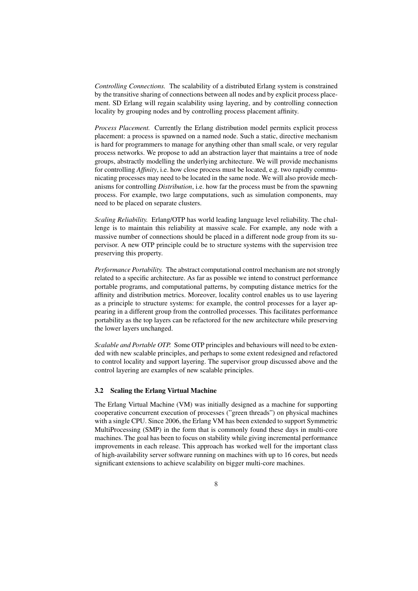*Controlling Connections.* The scalability of a distributed Erlang system is constrained by the transitive sharing of connections between all nodes and by explicit process placement. SD Erlang will regain scalability using layering, and by controlling connection locality by grouping nodes and by controlling process placement affinity.

*Process Placement.* Currently the Erlang distribution model permits explicit process placement: a process is spawned on a named node. Such a static, directive mechanism is hard for programmers to manage for anything other than small scale, or very regular process networks. We propose to add an abstraction layer that maintains a tree of node groups, abstractly modelling the underlying architecture. We will provide mechanisms for controlling *Affinity*, i.e. how close process must be located, e.g. two rapidly communicating processes may need to be located in the same node. We will also provide mechanisms for controlling *Distribution*, i.e. how far the process must be from the spawning process. For example, two large computations, such as simulation components, may need to be placed on separate clusters.

*Scaling Reliability.* Erlang/OTP has world leading language level reliability. The challenge is to maintain this reliability at massive scale. For example, any node with a massive number of connections should be placed in a different node group from its supervisor. A new OTP principle could be to structure systems with the supervision tree preserving this property.

*Performance Portability.* The abstract computational control mechanism are not strongly related to a specific architecture. As far as possible we intend to construct performance portable programs, and computational patterns, by computing distance metrics for the affinity and distribution metrics. Moreover, locality control enables us to use layering as a principle to structure systems: for example, the control processes for a layer appearing in a different group from the controlled processes. This facilitates performance portability as the top layers can be refactored for the new architecture while preserving the lower layers unchanged.

*Scalable and Portable OTP.* Some OTP principles and behaviours will need to be extended with new scalable principles, and perhaps to some extent redesigned and refactored to control locality and support layering. The supervisor group discussed above and the control layering are examples of new scalable principles.

#### 3.2 Scaling the Erlang Virtual Machine

The Erlang Virtual Machine (VM) was initially designed as a machine for supporting cooperative concurrent execution of processes ("green threads") on physical machines with a single CPU. Since 2006, the Erlang VM has been extended to support Symmetric MultiProcessing (SMP) in the form that is commonly found these days in multi-core machines. The goal has been to focus on stability while giving incremental performance improvements in each release. This approach has worked well for the important class of high-availability server software running on machines with up to 16 cores, but needs significant extensions to achieve scalability on bigger multi-core machines.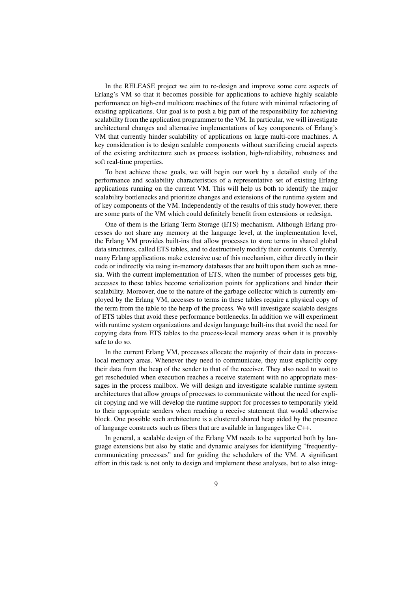In the RELEASE project we aim to re-design and improve some core aspects of Erlang's VM so that it becomes possible for applications to achieve highly scalable performance on high-end multicore machines of the future with minimal refactoring of existing applications. Our goal is to push a big part of the responsibility for achieving scalability from the application programmer to the VM. In particular, we will investigate architectural changes and alternative implementations of key components of Erlang's VM that currently hinder scalability of applications on large multi-core machines. A key consideration is to design scalable components without sacrificing crucial aspects of the existing architecture such as process isolation, high-reliability, robustness and soft real-time properties.

To best achieve these goals, we will begin our work by a detailed study of the performance and scalability characteristics of a representative set of existing Erlang applications running on the current VM. This will help us both to identify the major scalability bottlenecks and prioritize changes and extensions of the runtime system and of key components of the VM. Independently of the results of this study however, there are some parts of the VM which could definitely benefit from extensions or redesign.

One of them is the Erlang Term Storage (ETS) mechanism. Although Erlang processes do not share any memory at the language level, at the implementation level, the Erlang VM provides built-ins that allow processes to store terms in shared global data structures, called ETS tables, and to destructively modify their contents. Currently, many Erlang applications make extensive use of this mechanism, either directly in their code or indirectly via using in-memory databases that are built upon them such as mnesia. With the current implementation of ETS, when the number of processes gets big, accesses to these tables become serialization points for applications and hinder their scalability. Moreover, due to the nature of the garbage collector which is currently employed by the Erlang VM, accesses to terms in these tables require a physical copy of the term from the table to the heap of the process. We will investigate scalable designs of ETS tables that avoid these performance bottlenecks. In addition we will experiment with runtime system organizations and design language built-ins that avoid the need for copying data from ETS tables to the process-local memory areas when it is provably safe to do so.

In the current Erlang VM, processes allocate the majority of their data in processlocal memory areas. Whenever they need to communicate, they must explicitly copy their data from the heap of the sender to that of the receiver. They also need to wait to get rescheduled when execution reaches a receive statement with no appropriate messages in the process mailbox. We will design and investigate scalable runtime system architectures that allow groups of processes to communicate without the need for explicit copying and we will develop the runtime support for processes to temporarily yield to their appropriate senders when reaching a receive statement that would otherwise block. One possible such architecture is a clustered shared heap aided by the presence of language constructs such as fibers that are available in languages like C++.

In general, a scalable design of the Erlang VM needs to be supported both by language extensions but also by static and dynamic analyses for identifying "frequentlycommunicating processes" and for guiding the schedulers of the VM. A significant effort in this task is not only to design and implement these analyses, but to also integ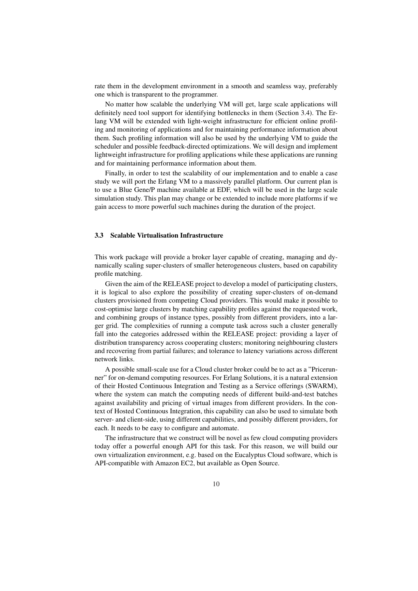rate them in the development environment in a smooth and seamless way, preferably one which is transparent to the programmer.

No matter how scalable the underlying VM will get, large scale applications will definitely need tool support for identifying bottlenecks in them (Section 3.4). The Erlang VM will be extended with light-weight infrastructure for efficient online profiling and monitoring of applications and for maintaining performance information about them. Such profiling information will also be used by the underlying VM to guide the scheduler and possible feedback-directed optimizations. We will design and implement lightweight infrastructure for profiling applications while these applications are running and for maintaining performance information about them.

Finally, in order to test the scalability of our implementation and to enable a case study we will port the Erlang VM to a massively parallel platform. Our current plan is to use a Blue Gene/P machine available at EDF, which will be used in the large scale simulation study. This plan may change or be extended to include more platforms if we gain access to more powerful such machines during the duration of the project.

#### 3.3 Scalable Virtualisation Infrastructure

This work package will provide a broker layer capable of creating, managing and dynamically scaling super-clusters of smaller heterogeneous clusters, based on capability profile matching.

Given the aim of the RELEASE project to develop a model of participating clusters, it is logical to also explore the possibility of creating super-clusters of on-demand clusters provisioned from competing Cloud providers. This would make it possible to cost-optimise large clusters by matching capability profiles against the requested work, and combining groups of instance types, possibly from different providers, into a larger grid. The complexities of running a compute task across such a cluster generally fall into the categories addressed within the RELEASE project: providing a layer of distribution transparency across cooperating clusters; monitoring neighbouring clusters and recovering from partial failures; and tolerance to latency variations across different network links.

A possible small-scale use for a Cloud cluster broker could be to act as a "Pricerunner" for on-demand computing resources. For Erlang Solutions, it is a natural extension of their Hosted Continuous Integration and Testing as a Service offerings (SWARM), where the system can match the computing needs of different build-and-test batches against availability and pricing of virtual images from different providers. In the context of Hosted Continuous Integration, this capability can also be used to simulate both server- and client-side, using different capabilities, and possibly different providers, for each. It needs to be easy to configure and automate.

The infrastructure that we construct will be novel as few cloud computing providers today offer a powerful enough API for this task. For this reason, we will build our own virtualization environment, e.g. based on the Eucalyptus Cloud software, which is API-compatible with Amazon EC2, but available as Open Source.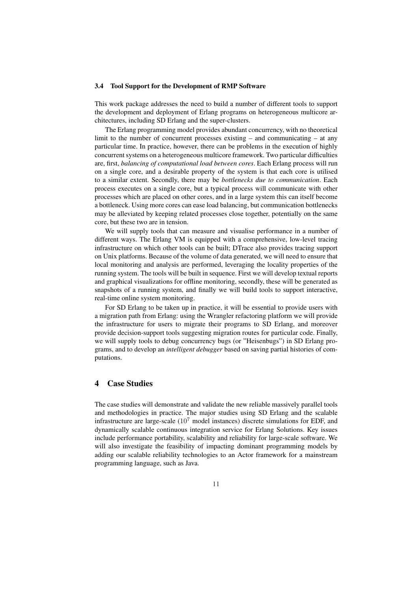#### 3.4 Tool Support for the Development of RMP Software

This work package addresses the need to build a number of different tools to support the development and deployment of Erlang programs on heterogeneous multicore architectures, including SD Erlang and the super-clusters.

The Erlang programming model provides abundant concurrency, with no theoretical limit to the number of concurrent processes existing – and communicating – at any particular time. In practice, however, there can be problems in the execution of highly concurrent systems on a heterogeneous multicore framework. Two particular difficulties are, first, *balancing of computational load between cores*. Each Erlang process will run on a single core, and a desirable property of the system is that each core is utilised to a similar extent. Secondly, there may be *bottlenecks due to communication*. Each process executes on a single core, but a typical process will communicate with other processes which are placed on other cores, and in a large system this can itself become a bottleneck. Using more cores can ease load balancing, but communication bottlenecks may be alleviated by keeping related processes close together, potentially on the same core, but these two are in tension.

We will supply tools that can measure and visualise performance in a number of different ways. The Erlang VM is equipped with a comprehensive, low-level tracing infrastructure on which other tools can be built; DTrace also provides tracing support on Unix platforms. Because of the volume of data generated, we will need to ensure that local monitoring and analysis are performed, leveraging the locality properties of the running system. The tools will be built in sequence. First we will develop textual reports and graphical visualizations for offline monitoring, secondly, these will be generated as snapshots of a running system, and finally we will build tools to support interactive, real-time online system monitoring.

For SD Erlang to be taken up in practice, it will be essential to provide users with a migration path from Erlang: using the Wrangler refactoring platform we will provide the infrastructure for users to migrate their programs to SD Erlang, and moreover provide decision-support tools suggesting migration routes for particular code. Finally, we will supply tools to debug concurrency bugs (or "Heisenbugs") in SD Erlang programs, and to develop an *intelligent debugger* based on saving partial histories of computations.

#### 4 Case Studies

The case studies will demonstrate and validate the new reliable massively parallel tools and methodologies in practice. The major studies using SD Erlang and the scalable infrastructure are large-scale  $(10^7 \text{ model instances})$  discrete simulations for EDF, and dynamically scalable continuous integration service for Erlang Solutions. Key issues include performance portability, scalability and reliability for large-scale software. We will also investigate the feasibility of impacting dominant programming models by adding our scalable reliability technologies to an Actor framework for a mainstream programming language, such as Java.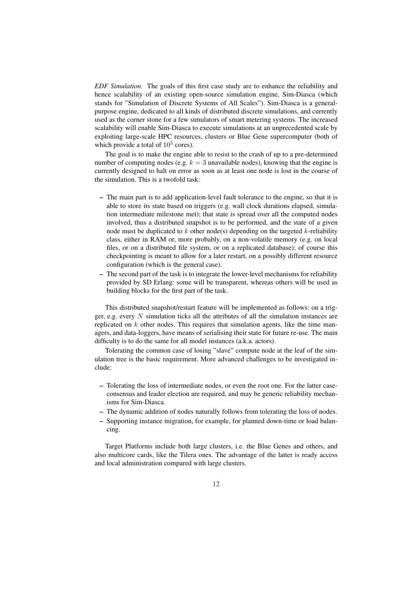*EDF Simulation.* The goals of this first case study are to enhance the reliability and hence scalability of an existing open-source simulation engine, Sim-Diasca (which stands for "Simulation of Discrete Systems of All Scales"). Sim-Diasca is a generalpurpose engine, dedicated to all kinds of distributed discrete simulations, and currently used as the corner stone for a few simulators of smart metering systems. The increased scalability will enable Sim-Diasca to execute simulations at an unprecedented scale by exploiting large-scale HPC resources, clusters or Blue Gene supercomputer (both of which provide a total of  $10^5$  cores).

The goal is to make the engine able to resist to the crash of up to a pre-determined number of computing nodes (e.g.  $k = 3$  unavailable nodes), knowing that the engine is currently designed to halt on error as soon as at least one node is lost in the course of the simulation. This is a twofold task:

- The main part is to add application-level fault tolerance to the engine, so that it is able to store its state based on triggers (e.g. wall clock durations elapsed, simulation intermediate milestone met); that state is spread over all the computed nodes involved, thus a distributed snapshot is to be performed, and the state of a given node must be duplicated to  $k$  other node(s) depending on the targeted  $k$ -reliability class, either in RAM or, more probably, on a non-volatile memory (e.g. on local files, or on a distributed file system, or on a replicated database); of course this checkpointing is meant to allow for a later restart, on a possibly different resource configuration (which is the general case).
- The second part of the task is to integrate the lower-level mechanisms for reliability provided by SD Erlang: some will be transparent, whereas others will be used as building blocks for the first part of the task.

This distributed snapshot/restart feature will be implemented as follows: on a trigger, e.g. every  $N$  simulation ticks all the attributes of all the simulation instances are replicated on  $k$  other nodes. This requires that simulation agents, like the time managers, and data-loggers, have means of serialising their state for future re-use. The main difficulty is to do the same for all model instances (a.k.a. actors).

Tolerating the common case of losing "slave" compute node at the leaf of the simulation tree is the basic requirement. More advanced challenges to be investigated include:

- Tolerating the loss of intermediate nodes, or even the root one. For the latter caseconsensus and leader election are required, and may be generic reliability mechanisms for Sim-Diasca.
- The dynamic addition of nodes naturally follows from tolerating the loss of nodes.
- Supporting instance migration, for example, for planned down-time or load balancing.

Target Platforms include both large clusters, i.e. the Blue Genes and others, and also multicore cards, like the Tilera ones. The advantage of the latter is ready access and local administration compared with large clusters.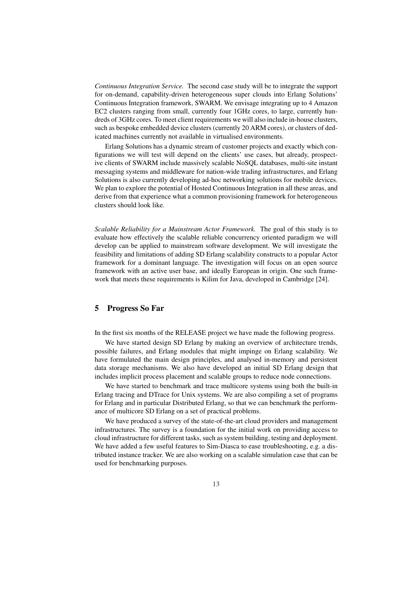*Continuous Integration Service.* The second case study will be to integrate the support for on-demand, capability-driven heterogeneous super clouds into Erlang Solutions' Continuous Integration framework, SWARM. We envisage integrating up to 4 Amazon EC2 clusters ranging from small, currently four 1GHz cores, to large, currently hundreds of 3GHz cores. To meet client requirements we will also include in-house clusters, such as bespoke embedded device clusters (currently 20 ARM cores), or clusters of dedicated machines currently not available in virtualised environments.

Erlang Solutions has a dynamic stream of customer projects and exactly which configurations we will test will depend on the clients' use cases, but already, prospective clients of SWARM include massively scalable NoSQL databases, multi-site instant messaging systems and middleware for nation-wide trading infrastructures, and Erlang Solutions is also currently developing ad-hoc networking solutions for mobile devices. We plan to explore the potential of Hosted Continuous Integration in all these areas, and derive from that experience what a common provisioning framework for heterogeneous clusters should look like.

*Scalable Reliability for a Mainstream Actor Framework.* The goal of this study is to evaluate how effectively the scalable reliable concurrency oriented paradigm we will develop can be applied to mainstream software development. We will investigate the feasibility and limitations of adding SD Erlang scalability constructs to a popular Actor framework for a dominant language. The investigation will focus on an open source framework with an active user base, and ideally European in origin. One such framework that meets these requirements is Kilim for Java, developed in Cambridge [24].

#### 5 Progress So Far

In the first six months of the RELEASE project we have made the following progress.

We have started design SD Erlang by making an overview of architecture trends, possible failures, and Erlang modules that might impinge on Erlang scalability. We have formulated the main design principles, and analysed in-memory and persistent data storage mechanisms. We also have developed an initial SD Erlang design that includes implicit process placement and scalable groups to reduce node connections.

We have started to benchmark and trace multicore systems using both the built-in Erlang tracing and DTrace for Unix systems. We are also compiling a set of programs for Erlang and in particular Distributed Erlang, so that we can benchmark the performance of multicore SD Erlang on a set of practical problems.

We have produced a survey of the state-of-the-art cloud providers and management infrastructures. The survey is a foundation for the initial work on providing access to cloud infrastructure for different tasks, such as system building, testing and deployment. We have added a few useful features to Sim-Diasca to ease troubleshooting, e.g. a distributed instance tracker. We are also working on a scalable simulation case that can be used for benchmarking purposes.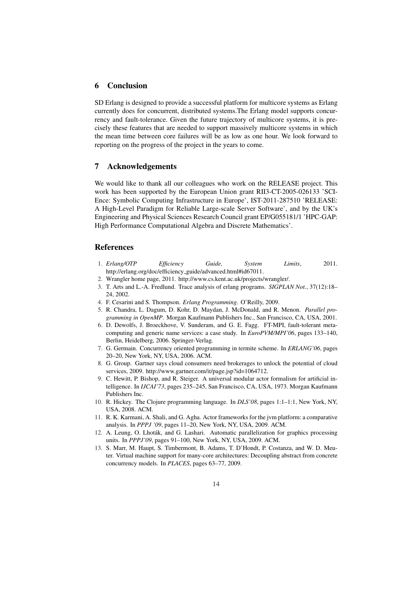#### 6 Conclusion

SD Erlang is designed to provide a successful platform for multicore systems as Erlang currently does for concurrent, distributed systems.The Erlang model supports concurrency and fault-tolerance. Given the future trajectory of multicore systems, it is precisely these features that are needed to support massively multicore systems in which the mean time between core failures will be as low as one hour. We look forward to reporting on the progress of the project in the years to come.

#### 7 Acknowledgements

We would like to thank all our colleagues who work on the RELEASE project. This work has been supported by the European Union grant RII3-CT-2005-026133 'SCI-Ence: Symbolic Computing Infrastructure in Europe', IST-2011-287510 'RELEASE: A High-Level Paradigm for Reliable Large-scale Server Software', and by the UK's Engineering and Physical Sciences Research Council grant EP/G055181/1 'HPC-GAP: High Performance Computational Algebra and Discrete Mathematics'.

#### References

- 1. *Erlang/OTP Efficiency Guide, System Limits*, 2011. http://erlang.org/doc/efficiency guide/advanced.html#id67011.
- 2. Wrangler home page, 2011. http://www.cs.kent.ac.uk/projects/wrangler/.
- 3. T. Arts and L.-A. Fredlund. Trace analysis of erlang programs. *SIGPLAN Not.*, 37(12):18– 24, 2002.
- 4. F. Cesarini and S. Thompson. *Erlang Programming*. O'Reilly, 2009.
- 5. R. Chandra, L. Dagum, D. Kohr, D. Maydan, J. McDonald, and R. Menon. *Parallel programming in OpenMP*. Morgan Kaufmann Publishers Inc., San Francisco, CA, USA, 2001.
- 6. D. Dewolfs, J. Broeckhove, V. Sunderam, and G. E. Fagg. FT-MPI, fault-tolerant metacomputing and generic name services: a case study. In *EuroPVM/MPI'06*, pages 133–140, Berlin, Heidelberg, 2006. Springer-Verlag.
- 7. G. Germain. Concurrency oriented programming in termite scheme. In *ERLANG'06*, pages 20–20, New York, NY, USA, 2006. ACM.
- 8. G. Group. Gartner says cloud consumers need brokerages to unlock the potential of cloud services, 2009. http://www.gartner.com/it/page.jsp?id=1064712.
- 9. C. Hewitt, P. Bishop, and R. Steiger. A universal modular actor formalism for artificial intelligence. In *IJCAI'73*, pages 235–245, San Francisco, CA, USA, 1973. Morgan Kaufmann Publishers Inc.
- 10. R. Hickey. The Clojure programming language. In *DLS'08*, pages 1:1–1:1, New York, NY, USA, 2008. ACM.
- 11. R. K. Karmani, A. Shali, and G. Agha. Actor frameworks for the jvm platform: a comparative analysis. In *PPPJ '09*, pages 11–20, New York, NY, USA, 2009. ACM.
- 12. A. Leung, O. Lhoták, and G. Lashari. Automatic parallelization for graphics processing units. In *PPPJ'09*, pages 91–100, New York, NY, USA, 2009. ACM.
- 13. S. Marr, M. Haupt, S. Timbermont, B. Adams, T. D'Hondt, P. Costanza, and W. D. Meuter. Virtual machine support for many-core architectures: Decoupling abstract from concrete concurrency models. In *PLACES*, pages 63–77, 2009.